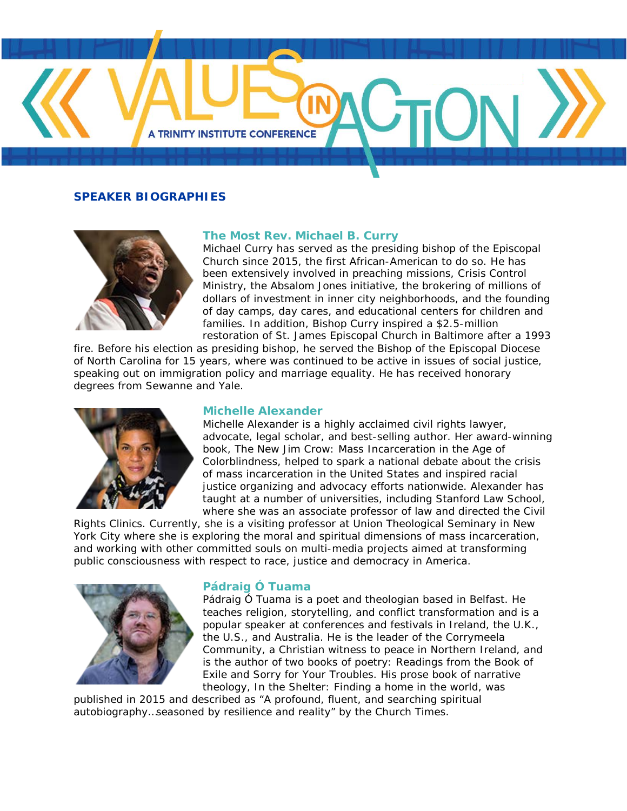

# **SPEAKER BIOGRAPHIES**



# **The Most Rev. Michael B. Curry**

Michael Curry has served as the presiding bishop of the Episcopal Church since 2015, the first African-American to do so. He has been extensively involved in preaching missions, Crisis Control Ministry, the Absalom Jones initiative, the brokering of millions of dollars of investment in inner city neighborhoods, and the founding of day camps, day cares, and educational centers for children and families. In addition, Bishop Curry inspired a \$2.5-million restoration of St. James Episcopal Church in Baltimore after a 1993

fire. Before his election as presiding bishop, he served the Bishop of the Episcopal Diocese of North Carolina for 15 years, where was continued to be active in issues of social justice, speaking out on immigration policy and marriage equality. He has received honorary degrees from Sewanne and Yale.



# **Michelle Alexander**

Michelle Alexander is a highly acclaimed civil rights lawyer, advocate, legal scholar, and best-selling author. Her award-winning book, The New Jim Crow: Mass Incarceration in the Age of Colorblindness, helped to spark a national debate about the crisis of mass incarceration in the United States and inspired racial justice organizing and advocacy efforts nationwide. Alexander has taught at a number of universities, including Stanford Law School, where she was an associate professor of law and directed the Civil

Rights Clinics. Currently, she is a visiting professor at Union Theological Seminary in New York City where she is exploring the moral and spiritual dimensions of mass incarceration, and working with other committed souls on multi-media projects aimed at transforming public consciousness with respect to race, justice and democracy in America.



# **Pádraig Ó Tuama**

Pádraig Ó Tuama is a poet and theologian based in Belfast. He teaches religion, storytelling, and conflict transformation and is a popular speaker at conferences and festivals in Ireland, the U.K., the U.S., and Australia. He is the leader of the Corrymeela Community, a Christian witness to peace in Northern Ireland, and is the author of two books of poetry: Readings from the Book of Exile and Sorry for Your Troubles. His prose book of narrative theology, In the Shelter: Finding a home in the world, was

published in 2015 and described as "A profound, fluent, and searching spiritual autobiography…seasoned by resilience and reality" by the Church Times.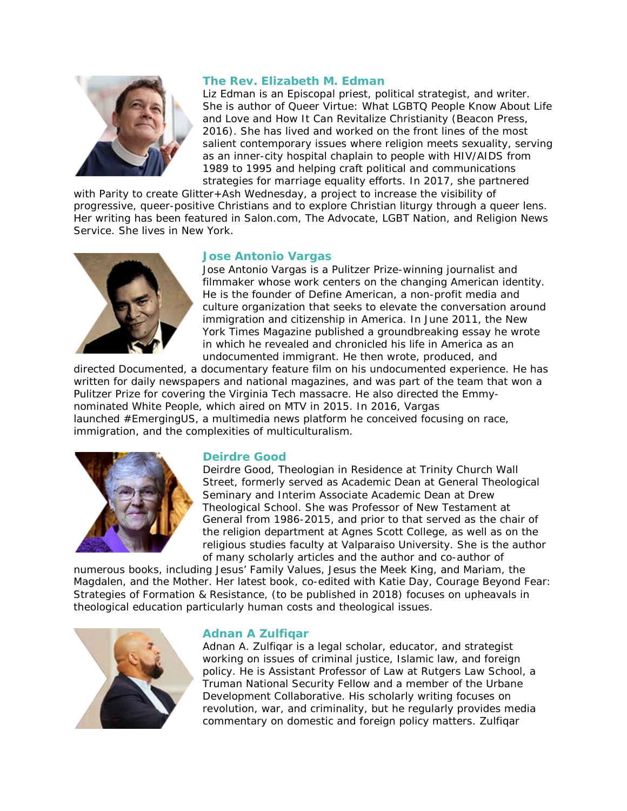

# **The Rev. Elizabeth M. Edman**

Liz Edman is an Episcopal priest, political strategist, and writer. She is author of Queer Virtue: What LGBTQ People Know About Life and Love and How It Can Revitalize Christianity (Beacon Press, 2016). She has lived and worked on the front lines of the most salient contemporary issues where religion meets sexuality, serving as an inner-city hospital chaplain to people with HIV/AIDS from 1989 to 1995 and helping craft political and communications strategies for marriage equality efforts. In 2017, she partnered

with Parity to create Glitter+Ash Wednesday, a project to increase the visibility of progressive, queer-positive Christians and to explore Christian liturgy through a queer lens. Her writing has been featured in Salon.com, The Advocate, LGBT Nation, and Religion News Service. She lives in New York.



# **Jose Antonio Vargas**

Jose Antonio Vargas is a Pulitzer Prize-winning journalist and filmmaker whose work centers on the changing American identity. He is the founder of Define American, a non-profit media and culture organization that seeks to elevate the conversation around immigration and citizenship in America. In June 2011, the New York Times Magazine published a groundbreaking essay he wrote in which he revealed and chronicled his life in America as an undocumented immigrant. He then wrote, produced, and

directed Documented, a documentary feature film on his undocumented experience. He has written for daily newspapers and national magazines, and was part of the team that won a Pulitzer Prize for covering the Virginia Tech massacre. He also directed the Emmynominated White People, which aired on MTV in 2015. In 2016, Vargas launched #EmergingUS, a multimedia news platform he conceived focusing on race, immigration, and the complexities of multiculturalism.



# **Deirdre Good**

Deirdre Good, Theologian in Residence at Trinity Church Wall Street, formerly served as Academic Dean at General Theological Seminary and Interim Associate Academic Dean at Drew Theological School. She was Professor of New Testament at General from 1986-2015, and prior to that served as the chair of the religion department at Agnes Scott College, as well as on the religious studies faculty at Valparaiso University. She is the author of many scholarly articles and the author and co-author of

numerous books, including Jesus' Family Values, Jesus the Meek King, and Mariam, the Magdalen, and the Mother. Her latest book, co-edited with Katie Day, Courage Beyond Fear: Strategies of Formation & Resistance, (to be published in 2018) focuses on upheavals in theological education particularly human costs and theological issues.



## **Adnan A Zulfiqar**

Adnan A. Zulfiqar is a legal scholar, educator, and strategist working on issues of criminal justice, Islamic law, and foreign policy. He is Assistant Professor of Law at Rutgers Law School, a Truman National Security Fellow and a member of the Urbane Development Collaborative. His scholarly writing focuses on revolution, war, and criminality, but he regularly provides media commentary on domestic and foreign policy matters. Zulfiqar